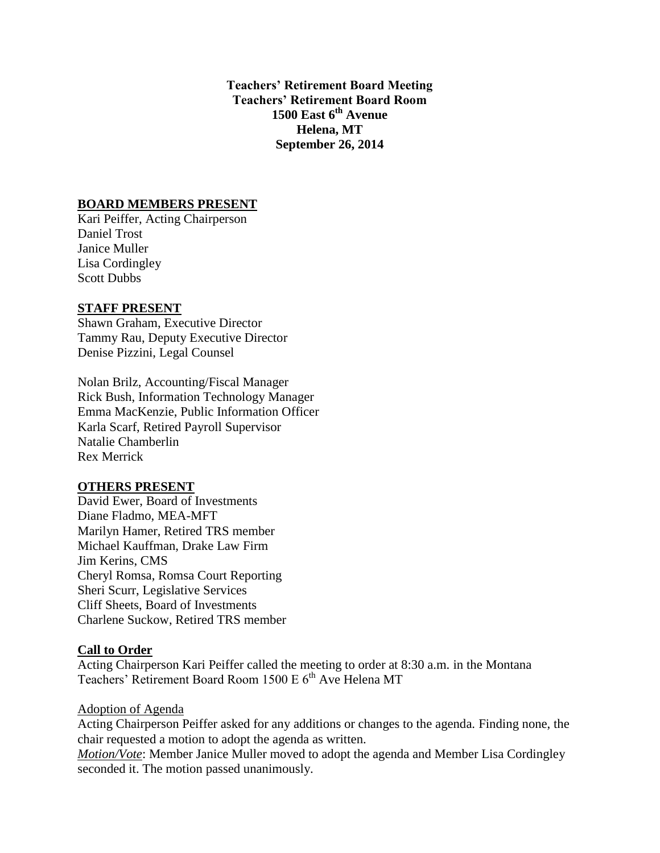**Teachers' Retirement Board Meeting Teachers' Retirement Board Room 1500 East 6th Avenue Helena, MT September 26, 2014**

### **BOARD MEMBERS PRESENT**

Kari Peiffer, Acting Chairperson Daniel Trost Janice Muller Lisa Cordingley Scott Dubbs

#### **STAFF PRESENT**

Shawn Graham, Executive Director Tammy Rau, Deputy Executive Director Denise Pizzini, Legal Counsel

Nolan Brilz, Accounting/Fiscal Manager Rick Bush, Information Technology Manager Emma MacKenzie, Public Information Officer Karla Scarf, Retired Payroll Supervisor Natalie Chamberlin Rex Merrick

#### **OTHERS PRESENT**

David Ewer, Board of Investments Diane Fladmo, MEA-MFT Marilyn Hamer, Retired TRS member Michael Kauffman, Drake Law Firm Jim Kerins, CMS Cheryl Romsa, Romsa Court Reporting Sheri Scurr, Legislative Services Cliff Sheets, Board of Investments Charlene Suckow, Retired TRS member

### **Call to Order**

Acting Chairperson Kari Peiffer called the meeting to order at 8:30 a.m. in the Montana Teachers' Retirement Board Room 1500 E 6<sup>th</sup> Ave Helena MT

#### Adoption of Agenda

Acting Chairperson Peiffer asked for any additions or changes to the agenda. Finding none, the chair requested a motion to adopt the agenda as written.

*Motion/Vote*: Member Janice Muller moved to adopt the agenda and Member Lisa Cordingley seconded it. The motion passed unanimously.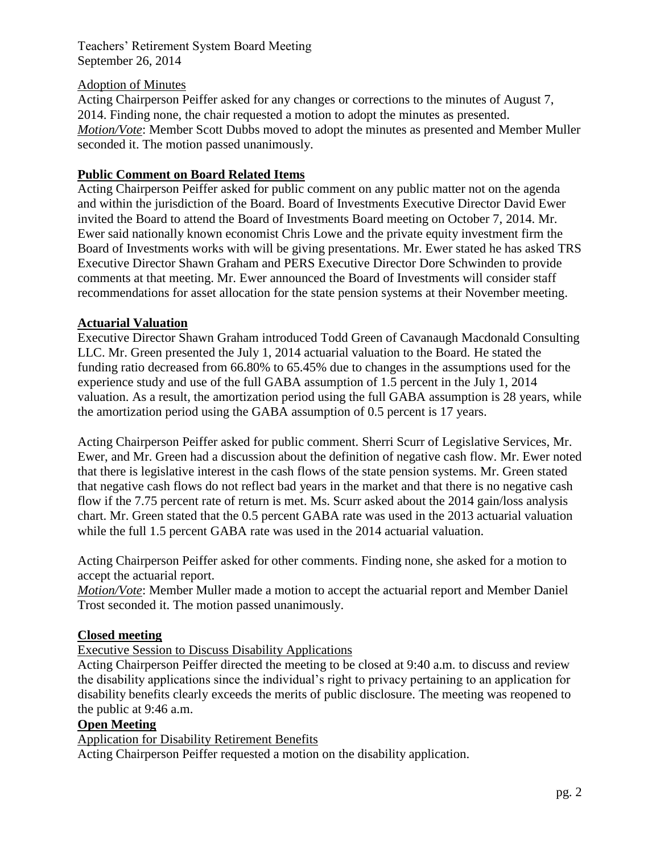### Adoption of Minutes

Acting Chairperson Peiffer asked for any changes or corrections to the minutes of August 7, 2014. Finding none, the chair requested a motion to adopt the minutes as presented. *Motion/Vote*: Member Scott Dubbs moved to adopt the minutes as presented and Member Muller seconded it. The motion passed unanimously.

### **Public Comment on Board Related Items**

Acting Chairperson Peiffer asked for public comment on any public matter not on the agenda and within the jurisdiction of the Board. Board of Investments Executive Director David Ewer invited the Board to attend the Board of Investments Board meeting on October 7, 2014. Mr. Ewer said nationally known economist Chris Lowe and the private equity investment firm the Board of Investments works with will be giving presentations. Mr. Ewer stated he has asked TRS Executive Director Shawn Graham and PERS Executive Director Dore Schwinden to provide comments at that meeting. Mr. Ewer announced the Board of Investments will consider staff recommendations for asset allocation for the state pension systems at their November meeting.

### **Actuarial Valuation**

Executive Director Shawn Graham introduced Todd Green of Cavanaugh Macdonald Consulting LLC. Mr. Green presented the July 1, 2014 actuarial valuation to the Board. He stated the funding ratio decreased from 66.80% to 65.45% due to changes in the assumptions used for the experience study and use of the full GABA assumption of 1.5 percent in the July 1, 2014 valuation. As a result, the amortization period using the full GABA assumption is 28 years, while the amortization period using the GABA assumption of 0.5 percent is 17 years.

Acting Chairperson Peiffer asked for public comment. Sherri Scurr of Legislative Services, Mr. Ewer, and Mr. Green had a discussion about the definition of negative cash flow. Mr. Ewer noted that there is legislative interest in the cash flows of the state pension systems. Mr. Green stated that negative cash flows do not reflect bad years in the market and that there is no negative cash flow if the 7.75 percent rate of return is met. Ms. Scurr asked about the 2014 gain/loss analysis chart. Mr. Green stated that the 0.5 percent GABA rate was used in the 2013 actuarial valuation while the full 1.5 percent GABA rate was used in the 2014 actuarial valuation.

Acting Chairperson Peiffer asked for other comments. Finding none, she asked for a motion to accept the actuarial report.

*Motion/Vote*: Member Muller made a motion to accept the actuarial report and Member Daniel Trost seconded it. The motion passed unanimously.

### **Closed meeting**

Executive Session to Discuss Disability Applications

Acting Chairperson Peiffer directed the meeting to be closed at 9:40 a.m. to discuss and review the disability applications since the individual's right to privacy pertaining to an application for disability benefits clearly exceeds the merits of public disclosure. The meeting was reopened to the public at 9:46 a.m.

#### **Open Meeting**

Application for Disability Retirement Benefits

Acting Chairperson Peiffer requested a motion on the disability application.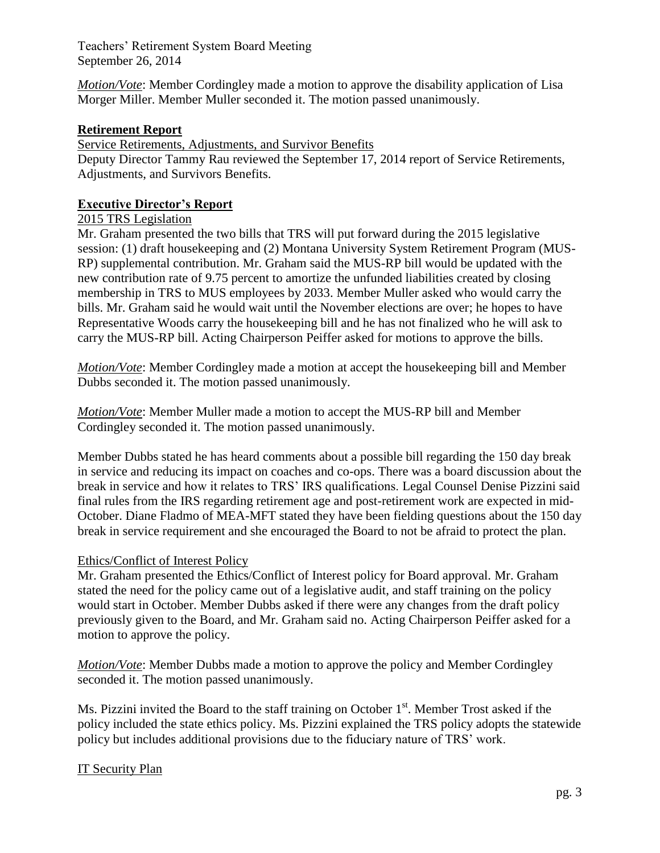*Motion/Vote*: Member Cordingley made a motion to approve the disability application of Lisa Morger Miller. Member Muller seconded it. The motion passed unanimously.

## **Retirement Report**

Service Retirements, Adjustments, and Survivor Benefits

Deputy Director Tammy Rau reviewed the September 17, 2014 report of Service Retirements, Adjustments, and Survivors Benefits.

## **Executive Director's Report**

### 2015 TRS Legislation

Mr. Graham presented the two bills that TRS will put forward during the 2015 legislative session: (1) draft housekeeping and (2) Montana University System Retirement Program (MUS-RP) supplemental contribution. Mr. Graham said the MUS-RP bill would be updated with the new contribution rate of 9.75 percent to amortize the unfunded liabilities created by closing membership in TRS to MUS employees by 2033. Member Muller asked who would carry the bills. Mr. Graham said he would wait until the November elections are over; he hopes to have Representative Woods carry the housekeeping bill and he has not finalized who he will ask to carry the MUS-RP bill. Acting Chairperson Peiffer asked for motions to approve the bills.

*Motion/Vote*: Member Cordingley made a motion at accept the housekeeping bill and Member Dubbs seconded it. The motion passed unanimously.

*Motion/Vote*: Member Muller made a motion to accept the MUS-RP bill and Member Cordingley seconded it. The motion passed unanimously.

Member Dubbs stated he has heard comments about a possible bill regarding the 150 day break in service and reducing its impact on coaches and co-ops. There was a board discussion about the break in service and how it relates to TRS' IRS qualifications. Legal Counsel Denise Pizzini said final rules from the IRS regarding retirement age and post-retirement work are expected in mid-October. Diane Fladmo of MEA-MFT stated they have been fielding questions about the 150 day break in service requirement and she encouraged the Board to not be afraid to protect the plan.

### Ethics/Conflict of Interest Policy

Mr. Graham presented the Ethics/Conflict of Interest policy for Board approval. Mr. Graham stated the need for the policy came out of a legislative audit, and staff training on the policy would start in October. Member Dubbs asked if there were any changes from the draft policy previously given to the Board, and Mr. Graham said no. Acting Chairperson Peiffer asked for a motion to approve the policy.

*Motion/Vote*: Member Dubbs made a motion to approve the policy and Member Cordingley seconded it. The motion passed unanimously.

Ms. Pizzini invited the Board to the staff training on October  $1<sup>st</sup>$ . Member Trost asked if the policy included the state ethics policy. Ms. Pizzini explained the TRS policy adopts the statewide policy but includes additional provisions due to the fiduciary nature of TRS' work.

# IT Security Plan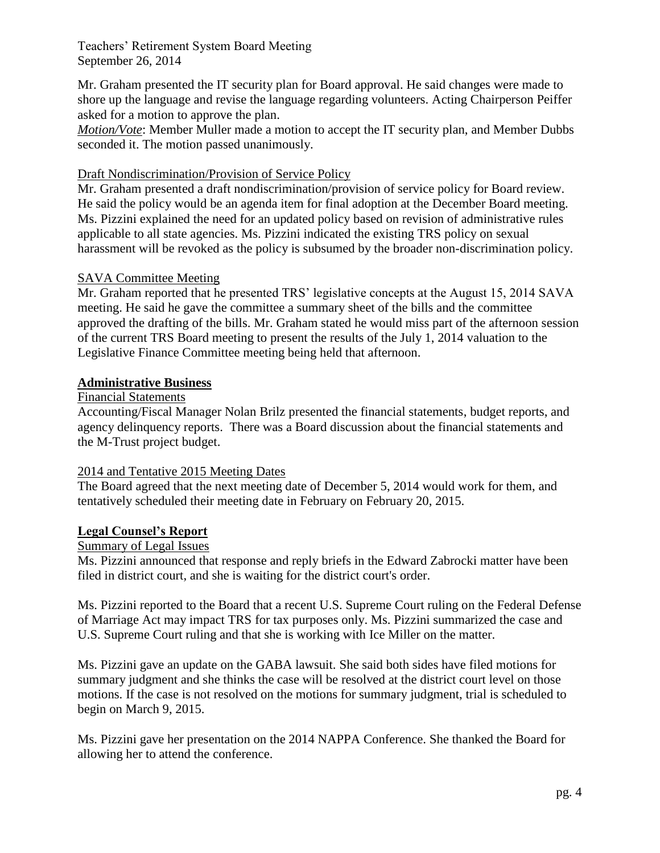Mr. Graham presented the IT security plan for Board approval. He said changes were made to shore up the language and revise the language regarding volunteers. Acting Chairperson Peiffer asked for a motion to approve the plan.

*Motion/Vote*: Member Muller made a motion to accept the IT security plan, and Member Dubbs seconded it. The motion passed unanimously.

### Draft Nondiscrimination/Provision of Service Policy

Mr. Graham presented a draft nondiscrimination/provision of service policy for Board review. He said the policy would be an agenda item for final adoption at the December Board meeting. Ms. Pizzini explained the need for an updated policy based on revision of administrative rules applicable to all state agencies. Ms. Pizzini indicated the existing TRS policy on sexual harassment will be revoked as the policy is subsumed by the broader non-discrimination policy.

### SAVA Committee Meeting

Mr. Graham reported that he presented TRS' legislative concepts at the August 15, 2014 SAVA meeting. He said he gave the committee a summary sheet of the bills and the committee approved the drafting of the bills. Mr. Graham stated he would miss part of the afternoon session of the current TRS Board meeting to present the results of the July 1, 2014 valuation to the Legislative Finance Committee meeting being held that afternoon.

#### **Administrative Business**

### Financial Statements

Accounting/Fiscal Manager Nolan Brilz presented the financial statements, budget reports, and agency delinquency reports. There was a Board discussion about the financial statements and the M-Trust project budget.

#### 2014 and Tentative 2015 Meeting Dates

The Board agreed that the next meeting date of December 5, 2014 would work for them, and tentatively scheduled their meeting date in February on February 20, 2015.

#### **Legal Counsel's Report**

## Summary of Legal Issues

Ms. Pizzini announced that response and reply briefs in the Edward Zabrocki matter have been filed in district court, and she is waiting for the district court's order.

Ms. Pizzini reported to the Board that a recent U.S. Supreme Court ruling on the Federal Defense of Marriage Act may impact TRS for tax purposes only. Ms. Pizzini summarized the case and U.S. Supreme Court ruling and that she is working with Ice Miller on the matter.

Ms. Pizzini gave an update on the GABA lawsuit. She said both sides have filed motions for summary judgment and she thinks the case will be resolved at the district court level on those motions. If the case is not resolved on the motions for summary judgment, trial is scheduled to begin on March 9, 2015.

Ms. Pizzini gave her presentation on the 2014 NAPPA Conference. She thanked the Board for allowing her to attend the conference.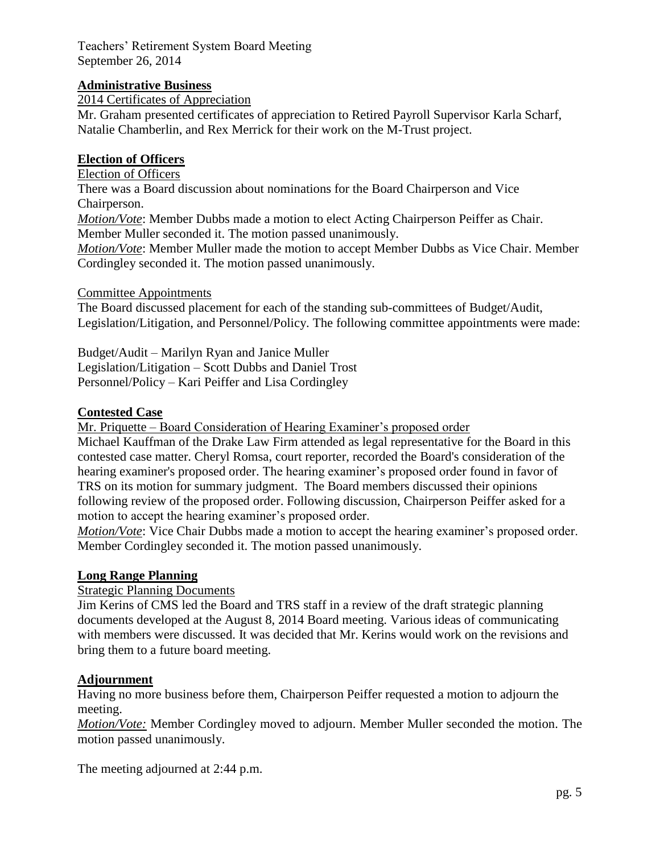# **Administrative Business**

2014 Certificates of Appreciation

Mr. Graham presented certificates of appreciation to Retired Payroll Supervisor Karla Scharf, Natalie Chamberlin, and Rex Merrick for their work on the M-Trust project.

### **Election of Officers**

Election of Officers

There was a Board discussion about nominations for the Board Chairperson and Vice Chairperson.

*Motion/Vote*: Member Dubbs made a motion to elect Acting Chairperson Peiffer as Chair. Member Muller seconded it. The motion passed unanimously.

*Motion/Vote*: Member Muller made the motion to accept Member Dubbs as Vice Chair. Member Cordingley seconded it. The motion passed unanimously.

#### Committee Appointments

The Board discussed placement for each of the standing sub-committees of Budget/Audit, Legislation/Litigation, and Personnel/Policy. The following committee appointments were made:

Budget/Audit – Marilyn Ryan and Janice Muller Legislation/Litigation – Scott Dubbs and Daniel Trost Personnel/Policy – Kari Peiffer and Lisa Cordingley

#### **Contested Case**

Mr. Priquette – Board Consideration of Hearing Examiner's proposed order

Michael Kauffman of the Drake Law Firm attended as legal representative for the Board in this contested case matter. Cheryl Romsa, court reporter, recorded the Board's consideration of the hearing examiner's proposed order. The hearing examiner's proposed order found in favor of TRS on its motion for summary judgment. The Board members discussed their opinions following review of the proposed order. Following discussion, Chairperson Peiffer asked for a motion to accept the hearing examiner's proposed order.

*Motion/Vote*: Vice Chair Dubbs made a motion to accept the hearing examiner's proposed order. Member Cordingley seconded it. The motion passed unanimously.

#### **Long Range Planning**

#### Strategic Planning Documents

Jim Kerins of CMS led the Board and TRS staff in a review of the draft strategic planning documents developed at the August 8, 2014 Board meeting. Various ideas of communicating with members were discussed. It was decided that Mr. Kerins would work on the revisions and bring them to a future board meeting.

#### **Adjournment**

Having no more business before them, Chairperson Peiffer requested a motion to adjourn the meeting.

*Motion/Vote:* Member Cordingley moved to adjourn. Member Muller seconded the motion. The motion passed unanimously.

The meeting adjourned at 2:44 p.m.